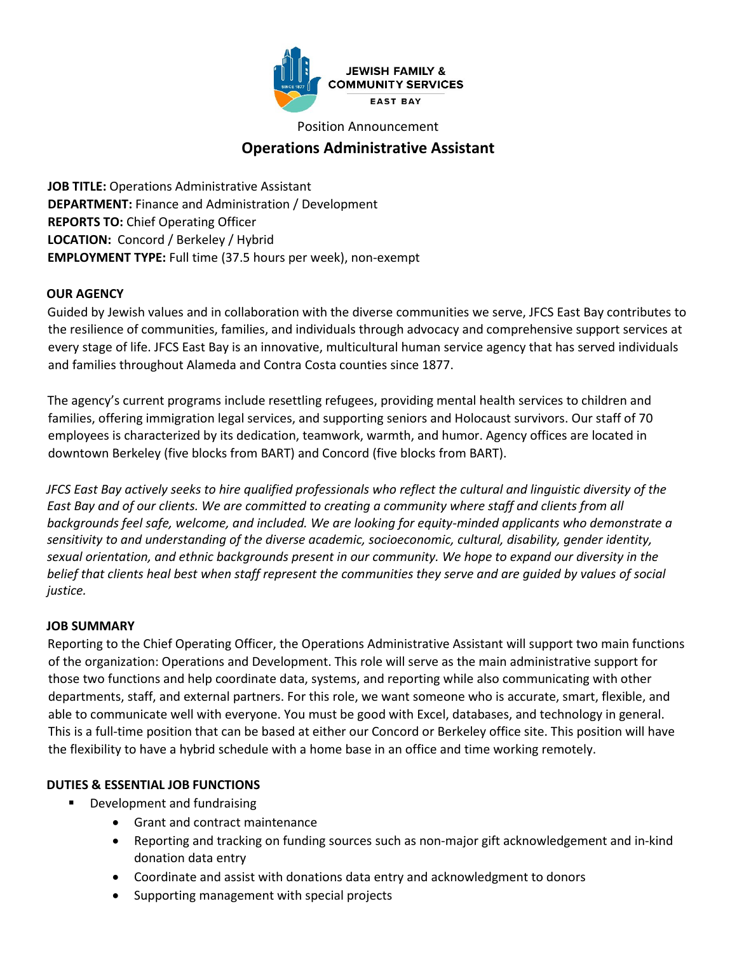

Position Announcement

# **Operations Administrative Assistant**

**JOB TITLE:** Operations Administrative Assistant **DEPARTMENT:** Finance and Administration / Development **REPORTS TO:** Chief Operating Officer **LOCATION:** Concord / Berkeley / Hybrid **EMPLOYMENT TYPE:** Full time (37.5 hours per week), non-exempt

# **OUR AGENCY**

Guided by Jewish values and in collaboration with the diverse communities we serve, JFCS East Bay contributes to the resilience of communities, families, and individuals through advocacy and comprehensive support services at every stage of life. JFCS East Bay is an innovative, multicultural human service agency that has served individuals and families throughout Alameda and Contra Costa counties since 1877.

The agency's current programs include resettling refugees, providing mental health services to children and families, offering immigration legal services, and supporting seniors and Holocaust survivors. Our staff of 70 employees is characterized by its dedication, teamwork, warmth, and humor. Agency offices are located in downtown Berkeley (five blocks from BART) and Concord (five blocks from BART).

*JFCS East Bay actively seeks to hire qualified professionals who reflect the cultural and linguistic diversity of the*  East Bay and of our clients. We are committed to creating a community where staff and clients from all *backgrounds feel safe, welcome, and included. We are looking for equity-minded applicants who demonstrate a sensitivity to and understanding of the diverse academic, socioeconomic, cultural, disability, gender identity, sexual orientation, and ethnic backgrounds present in our community. We hope to expand our diversity in the belief that clients heal best when staff represent the communities they serve and are guided by values of social justice.* 

# **JOB SUMMARY**

Reporting to the Chief Operating Officer, the Operations Administrative Assistant will support two main functions of the organization: Operations and Development. This role will serve as the main administrative support for those two functions and help coordinate data, systems, and reporting while also communicating with other departments, staff, and external partners. For this role, we want someone who is accurate, smart, flexible, and able to communicate well with everyone. You must be good with Excel, databases, and technology in general. This is a full-time position that can be based at either our Concord or Berkeley office site. This position will have the flexibility to have a hybrid schedule with a home base in an office and time working remotely.

# **DUTIES & ESSENTIAL JOB FUNCTIONS**

- **Development and fundraising** 
	- Grant and contract maintenance
	- Reporting and tracking on funding sources such as non-major gift acknowledgement and in-kind donation data entry
	- Coordinate and assist with donations data entry and acknowledgment to donors
	- Supporting management with special projects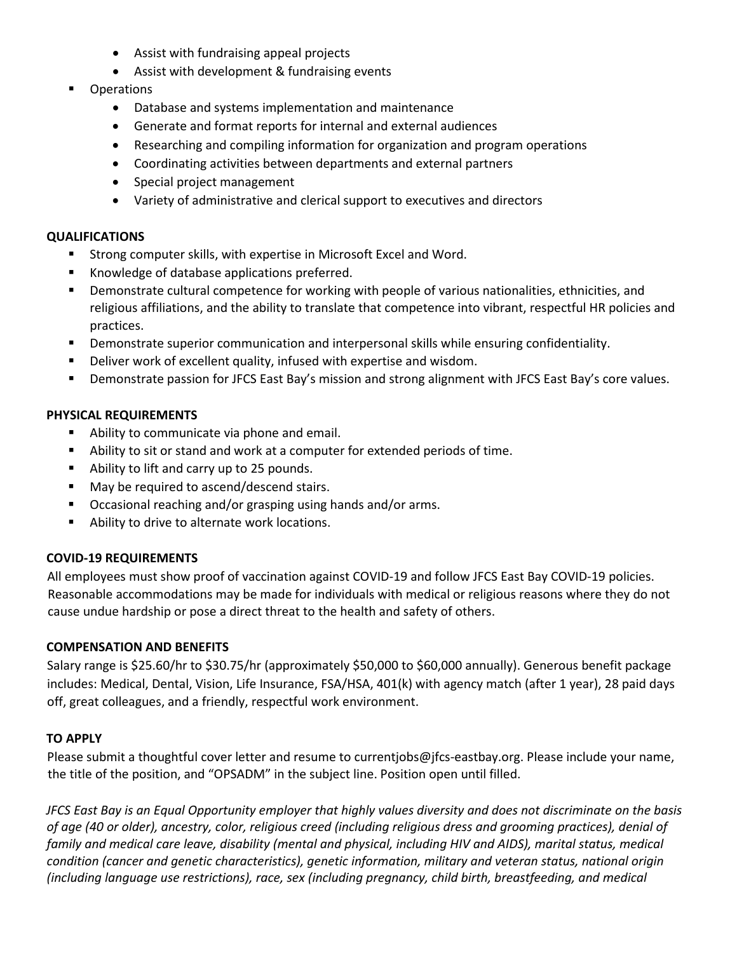- Assist with fundraising appeal projects
- Assist with development & fundraising events
- **Operations** 
	- Database and systems implementation and maintenance
	- Generate and format reports for internal and external audiences
	- Researching and compiling information for organization and program operations
	- Coordinating activities between departments and external partners
	- Special project management
	- Variety of administrative and clerical support to executives and directors

### **QUALIFICATIONS**

- **Strong computer skills, with expertise in Microsoft Excel and Word.**
- Knowledge of database applications preferred.
- **P** Demonstrate cultural competence for working with people of various nationalities, ethnicities, and religious affiliations, and the ability to translate that competence into vibrant, respectful HR policies and practices.
- **Phonomatrate superior communication and interpersonal skills while ensuring confidentiality.**
- Deliver work of excellent quality, infused with expertise and wisdom.
- Demonstrate passion for JFCS East Bay's mission and strong alignment with JFCS East Bay's core values.

# **PHYSICAL REQUIREMENTS**

- Ability to communicate via phone and email.
- Ability to sit or stand and work at a computer for extended periods of time.
- Ability to lift and carry up to 25 pounds.
- May be required to ascend/descend stairs.
- Occasional reaching and/or grasping using hands and/or arms.
- **Ability to drive to alternate work locations.**

# **COVID-19 REQUIREMENTS**

All employees must show proof of vaccination against COVID-19 and follow JFCS East Bay COVID-19 policies. Reasonable accommodations may be made for individuals with medical or religious reasons where they do not cause undue hardship or pose a direct threat to the health and safety of others.

# **COMPENSATION AND BENEFITS**

Salary range is \$25.60/hr to \$30.75/hr (approximately \$50,000 to \$60,000 annually). Generous benefit package includes: Medical, Dental, Vision, Life Insurance, FSA/HSA, 401(k) with agency match (after 1 year), 28 paid days off, great colleagues, and a friendly, respectful work environment.

# **TO APPLY**

Please submit a thoughtful cover letter and resume to currentjobs@jfcs-eastbay.org. Please include your name, the title of the position, and "OPSADM" in the subject line. Position open until filled.

*JFCS East Bay is an Equal Opportunity employer that highly values diversity and does not discriminate on the basis of age (40 or older), ancestry, color, religious creed (including religious dress and grooming practices), denial of family and medical care leave, disability (mental and physical, including HIV and AIDS), marital status, medical condition (cancer and genetic characteristics), genetic information, military and veteran status, national origin (including language use restrictions), race, sex (including pregnancy, child birth, breastfeeding, and medical*